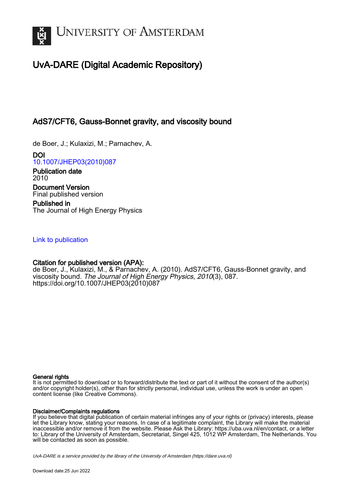

# UvA-DARE (Digital Academic Repository)

## AdS7/CFT6, Gauss-Bonnet gravity, and viscosity bound

de Boer, J.; Kulaxizi, M.; Parnachev, A.

DOI [10.1007/JHEP03\(2010\)087](https://doi.org/10.1007/JHEP03(2010)087)

Publication date 2010 Document Version Final published version

Published in The Journal of High Energy Physics

## [Link to publication](https://dare.uva.nl/personal/pure/en/publications/ads7cft6-gaussbonnet-gravity-and-viscosity-bound(b9f6ac85-61e5-4b2a-851d-531d74bdcd65).html)

### Citation for published version (APA):

de Boer, J., Kulaxizi, M., & Parnachev, A. (2010). AdS7/CFT6, Gauss-Bonnet gravity, and viscosity bound. The Journal of High Energy Physics, 2010(3), 087. [https://doi.org/10.1007/JHEP03\(2010\)087](https://doi.org/10.1007/JHEP03(2010)087)

#### General rights

It is not permitted to download or to forward/distribute the text or part of it without the consent of the author(s) and/or copyright holder(s), other than for strictly personal, individual use, unless the work is under an open content license (like Creative Commons).

#### Disclaimer/Complaints regulations

If you believe that digital publication of certain material infringes any of your rights or (privacy) interests, please let the Library know, stating your reasons. In case of a legitimate complaint, the Library will make the material inaccessible and/or remove it from the website. Please Ask the Library: https://uba.uva.nl/en/contact, or a letter to: Library of the University of Amsterdam, Secretariat, Singel 425, 1012 WP Amsterdam, The Netherlands. You will be contacted as soon as possible.

UvA-DARE is a service provided by the library of the University of Amsterdam (http*s*://dare.uva.nl)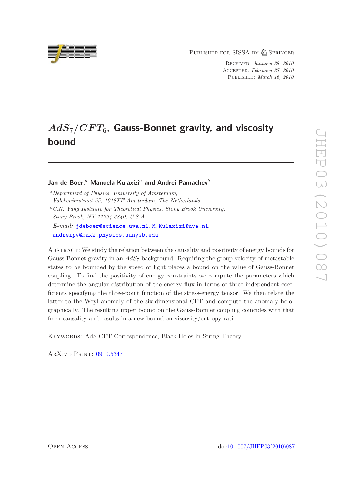PUBLISHED FOR SISSA BY 2 SPRINGER

Received: January 28, 2010 Accepted: February 27, 2010 PUBLISHED: March 16, 2010

# $AdS_7/CFT_6$ , Gauss-Bonnet gravity, and viscosity bound

#### Jan de Boer.<sup>a</sup> Manuela Kulaxizi<sup>a</sup> and Andrei Parnachev<sup>b</sup>

<sup>a</sup>*Department of Physics, University of Amsterdam, Valckenierstraat 65, 1018XE Amsterdam, The Netherlands* <sup>b</sup>*C.N. Yang Institute for Theoretical Physics, Stony Brook University, Stony Brook, NY 11794-3840, U.S.A. E-mail:* [jdeboer@science.uva.nl](mailto:jdeboer@science.uva.nl), [M.Kulaxizi@uva.nl](mailto:M.Kulaxizi@uva.nl), [andreipv@max2.physics.sunysb.edu](mailto:andreipv@max2.physics.sunysb.edu)

Abstract: We study the relation between the causality and positivity of energy bounds for Gauss-Bonnet gravity in an  $AdS_7$  background. Requiring the group velocity of metastable states to be bounded by the speed of light places a bound on the value of Gauss-Bonnet coupling. To find the positivity of energy constraints we compute the parameters which determine the angular distribution of the energy flux in terms of three independent coefficients specifying the three-point function of the stress-energy tensor. We then relate the latter to the Weyl anomaly of the six-dimensional CFT and compute the anomaly holographically. The resulting upper bound on the Gauss-Bonnet coupling coincides with that from causality and results in a new bound on viscosity/entropy ratio.

KEYWORDS: AdS-CFT Correspondence, Black Holes in String Theory

ArXiv ePrint: [0910.5347](http://arxiv.org/abs/0910.5347)

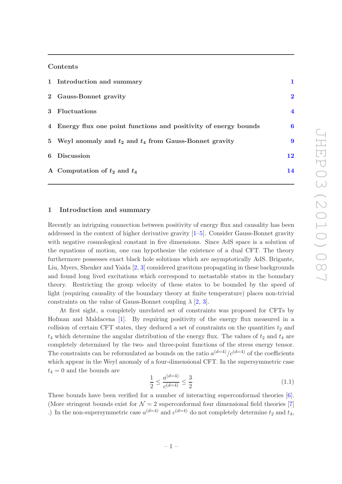#### Contents

| 1 Introduction and summary                                        |                         |
|-------------------------------------------------------------------|-------------------------|
| 2 Gauss-Bonnet gravity                                            | $\bf{2}$                |
| 3 Fluctuations                                                    | $\overline{\mathbf{4}}$ |
| 4 Energy flux one point functions and positivity of energy bounds | 6                       |
| 5 Weyl anomaly and $t_2$ and $t_4$ from Gauss-Bonnet gravity      | 9                       |
| 6 Discussion                                                      | 12                      |
| A Computation of $t_2$ and $t_4$                                  | 14                      |
|                                                                   |                         |

#### <span id="page-2-0"></span>1 Introduction and summary

Recently an intriguing connection between positivity of energy flux and causality has been addressed in the context of higher derivative gravity [\[1](#page-17-0)[–5\]](#page-17-1). Consider Gauss-Bonnet gravity with negative cosmological constant in five dimensions. Since AdS space is a solution of the equations of motion, one can hypothesize the existence of a dual CFT. The theory furthermore possesses exact black hole solutions which are asymptotically AdS. Brigante, Liu, Myers, Shenker and Yaida [\[2](#page-17-2), [3\]](#page-17-3) considered gravitons propagating in these backgrounds and found long lived excitations which correspond to metastable states in the boundary theory. Restricting the group velocity of these states to be bounded by the speed of light (requiring causality of the boundary theory at finite temperature) places non-trivial constraints on the value of Gauss-Bonnet coupling  $\lambda$  [\[2,](#page-17-2) [3](#page-17-3)].

At first sight, a completely unrelated set of constraints was proposed for CFTs by Hofman and Maldacena [\[1](#page-17-0)]. By requiring positivity of the energy flux measured in a collision of certain CFT states, they deduced a set of constraints on the quantities  $t_2$  and  $t_4$  which determine the angular distribution of the energy flux. The values of  $t_2$  and  $t_4$  are completely determined by the two- and three-point functions of the stress energy tensor. The constraints can be reformulated as bounds on the ratio  $a^{(d=4)}/c^{(d=4)}$  of the coefficients which appear in the Weyl anomaly of a four-dimensional CFT. In the supersymmetric case  $t_4 = 0$  and the bounds are

<span id="page-2-1"></span>
$$
\frac{1}{2} \le \frac{a^{(d=4)}}{c^{(d=4)}} \le \frac{3}{2} \tag{1.1}
$$

These bounds have been verified for a number of interacting superconformal theories [\[6\]](#page-17-4). (More stringent bounds exist for  $\mathcal{N} = 2$  superconformal four dimensional field theories [\[7\]](#page-17-5) .) In the non-supersymmetric case  $a^{(d=4)}$  and  $c^{(d=4)}$  do not completely determine  $t_2$  and  $t_4$ ,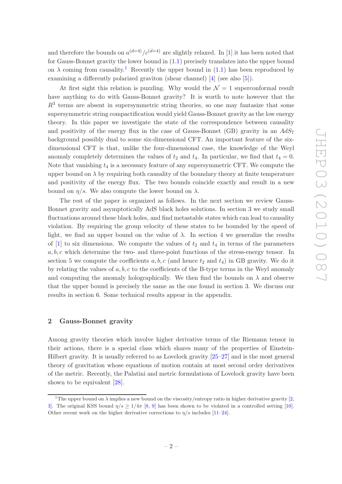and therefore the bounds on  $a^{(d=4)}/c^{(d=4)}$  are slightly relaxed. In [\[1\]](#page-17-0) it has been noted that for Gauss-Bonnet gravity the lower bound in [\(1.1\)](#page-2-1) precisely translates into the upper bound on  $\lambda$  coming from causality.<sup>[1](#page-3-1)</sup> Recently the upper bound in [\(1.1\)](#page-2-1) has been reproduced by examining a differently polarized graviton (shear channel) [\[4](#page-17-6)] (see also [\[5\]](#page-17-1)).

At first sight this relation is puzzling. Why would the  $\mathcal{N}=1$  superconformal result have anything to do with Gauss-Bonnet gravity? It is worth to note however that the  $R<sup>3</sup>$  terms are absent in supersymmetric string theories, so one may fantasize that some supersymmetric string compactification would yield Gauss-Bonnet gravity as the low energy theory. In this paper we investigate the state of the correspondence between causality and positivity of the energy flux in the case of Gauss-Bonnet (GB) gravity in an  $AdS_7$ background possibly dual to some six-dimensional CFT. An important feature of the sixdimensional CFT is that, unlike the four-dimensional case, the knowledge of the Weyl anomaly completely determines the values of  $t_2$  and  $t_4$ . In particular, we find that  $t_4 = 0$ . Note that vanishing  $t_4$  is a necessary feature of any supersymmetric CFT. We compute the upper bound on  $\lambda$  by requiring both causality of the boundary theory at finite temperature and positivity of the energy flux. The two bounds coincide exactly and result in a new bound on  $\eta/s$ . We also compute the lower bound on  $\lambda$ .

The rest of the paper is organized as follows. In the next section we review Gauss-Bonnet gravity and asymptotically AdS black holes solutions. In section 3 we study small fluctuations around these black holes, and find metastable states which can lead to causality violation. By requiring the group velocity of these states to be bounded by the speed of light, we find an upper bound on the value of  $\lambda$ . In section 4 we generalize the results of [\[1\]](#page-17-0) to six dimensions. We compute the values of  $t_2$  and  $t_4$  in terms of the parameters  $a, b, c$  which determine the two- and three-point functions of the stress-energy tensor. In section 5 we compute the coefficients  $a, b, c$  (and hence  $t_2$  and  $t_4$ ) in GB gravity. We do it by relating the values of  $a, b, c$  to the coefficients of the B-type terms in the Weyl anomaly and computing the anomaly holographically. We then find the bounds on  $\lambda$  and observe that the upper bound is precisely the same as the one found in section 3. We discuss our results in section 6. Some technical results appear in the appendix.

#### <span id="page-3-0"></span>2 Gauss-Bonnet gravity

Among gravity theories which involve higher derivative terms of the Riemann tensor in their actions, there is a special class which shares many of the properties of Einstein-Hilbert gravity. It is usually referred to as Lovelock gravity [\[25](#page-18-0)[–27](#page-18-1)] and is the most general theory of gravitation whose equations of motion contain at most second order derivatives of the metric. Recently, the Palatini and metric formulations of Lovelock gravity have been shown to be equivalent [\[28](#page-18-2)].

<span id="page-3-1"></span><sup>&</sup>lt;sup>1</sup>The upper bound on  $\lambda$  implies a new bound on the viscosity/entropy ratio in higher derivative gravity [\[2](#page-17-2), [3\]](#page-17-3). The original KSS bound  $\eta/s > 1/4\pi$  [\[8](#page-17-7), [9\]](#page-17-8) has been shown to be violated in a controlled setting [\[10\]](#page-17-9). Other recent work on the higher derivative corrections to  $\eta/s$  includes [\[11](#page-17-10)[–24\]](#page-18-3).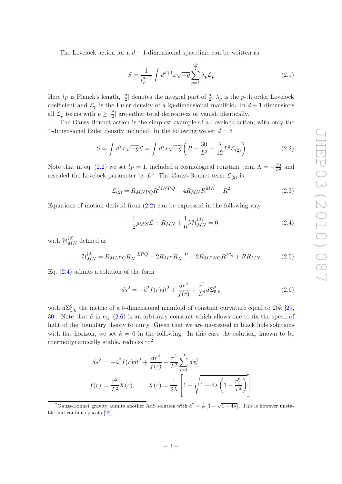The Lovelock action for a  $d+1$ -dimensional spacetime can be written as

$$
S = \frac{1}{l_P^{d-1}} \int d^{d+1}x \sqrt{-g} \sum_{p=1}^{\left[\frac{d}{2}\right]} \lambda_p \mathcal{L}_p \tag{2.1}
$$

Here  $l_P$  is Planck's length,  $[\frac{d}{2}]$  denotes the integral part of  $\frac{d}{2}$ ,  $\lambda_p$  is the p-th order Lovelock coefficient and  $\mathcal{L}_p$  is the Euler density of a 2p-dimensional manifold. In  $d+1$  dimensions all  $\mathcal{L}_p$  terms with  $p \geq [\frac{d}{2}]$  $\frac{d}{2}$  are either total derivatives or vanish identically.

The Gauss-Bonnet action is the simplest example of a Lovelock action, with only the 4-dimensional Euler density included. In the following we set  $d = 6$ 

<span id="page-4-0"></span>
$$
S = \int d^7x \sqrt{-g} \mathcal{L} = \int d^7x \sqrt{-g} \left( R + \frac{30}{L^2} + \frac{\lambda}{12} L^2 \mathcal{L}_{(2)} \right) \tag{2.2}
$$

Note that in eq. [\(2.2\)](#page-4-0) we set  $l_P = 1$ , included a cosmological constant term  $\Lambda = -\frac{30}{L^2}$  and rescaled the Lovelock parameter by  $L^2$ . The Gauss-Bonnet term  $\mathcal{L}_{(2)}$  is

$$
\mathcal{L}_{(2)} = R_{MNPQ} R^{MNPQ} - 4R_{MN} R^{MN} + R^2
$$
\n(2.3)

Equations of motion derived from  $(2.2)$  can be expressed in the following way

<span id="page-4-1"></span>
$$
-\frac{1}{2}g_{MN}\mathcal{L} + R_{MN} + \frac{1}{6}\lambda \mathcal{H}_{MN}^{(2)} = 0
$$
\n(2.4)

with  $\mathcal{H}_{MN}^{(2)}$  defined as

$$
\mathcal{H}_{MN}^{(2)} = R_{MLPQ} R_N^{LPQ} - 2R_{MP} R_N^{P} - 2R_{MPNQ} R^{PQ} + R R_{MN}
$$
 (2.5)

Eq. [\(2.4\)](#page-4-1) admits a solution of the form

<span id="page-4-2"></span>
$$
ds^{2} = -\tilde{a}^{2} f(r) dt^{2} + \frac{dr^{2}}{f(r)} + \frac{r^{2}}{L^{2}} d\Sigma_{5,k}^{2}
$$
 (2.6)

with  $d\Sigma_{5,k}^2$  the metric of a 5-dimensional manifold of constant curvature equal to 20k [\[29,](#page-18-4) [30](#page-18-5). Note that  $\tilde{a}$  in eq.  $(2.6)$  is an arbitrary constant which allows one to fix the speed of light of the boundary theory to unity. Given that we are interested in black hole solutions with flat horizon, we set  $k = 0$  in the following. In this case the solution, known to be thermodynamically stable, reduces  $\mathrm{to}^2$  $\mathrm{to}^2$ 

<span id="page-4-4"></span>
$$
ds^{2} = -\tilde{a}^{2} f(r) dt^{2} + \frac{dr^{2}}{f(r)} + \frac{r^{2}}{L^{2}} \sum_{i=1}^{5} dx_{i}^{2}
$$

$$
f(r) = \frac{r^{2}}{L^{2}} X(r), \qquad X(r) = \frac{1}{2\lambda} \left[ 1 - \sqrt{1 - 4\lambda \left( 1 - \frac{r_{+}^{6}}{r^{6}} \right)} \right]
$$

<span id="page-4-3"></span><sup>&</sup>lt;sup>2</sup>Gauss-Bonnet gravity admits another AdS solution with  $\tilde{a}^2 = \frac{1}{2} \left[ 1 - \sqrt{1 - 4\lambda} \right]$ . This is however unstable and contains ghosts [\[29](#page-18-4)].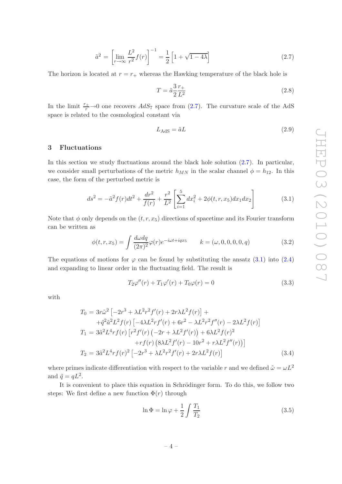$$
\tilde{a}^2 = \left[ \lim_{r \to \infty} \frac{L^2}{r^2} f(r) \right]^{-1} = \frac{1}{2} \left[ 1 + \sqrt{1 - 4\lambda} \right]
$$
\n(2.7)

The horizon is located at  $r = r_+$  whereas the Hawking temperature of the black hole is

$$
T = \tilde{a} \frac{3}{2} \frac{r_+}{L^2} \tag{2.8}
$$

In the limit  $\frac{r_+}{r}\rightarrow 0$  one recovers  $AdS_7$  space from [\(2.7\)](#page-4-4). The curvature scale of the AdS space is related to the cosmological constant via

<span id="page-5-4"></span>
$$
L_{\rm AdS} = \tilde{a}L\tag{2.9}
$$

#### <span id="page-5-0"></span>3 Fluctuations

In this section we study fluctuations around the black hole solution [\(2.7\)](#page-4-4). In particular, we consider small perturbations of the metric  $h_{MN}$  in the scalar channel  $\phi = h_{12}$ . In this case, the form of the perturbed metric is

<span id="page-5-1"></span>
$$
ds^{2} = -\tilde{a}^{2} f(r) dt^{2} + \frac{dr^{2}}{f(r)} + \frac{r^{2}}{L^{2}} \left[ \sum_{i=1}^{5} dx_{i}^{2} + 2\phi(t, r, x_{5}) dx_{1} dx_{2} \right]
$$
(3.1)

Note that  $\phi$  only depends on the  $(t, r, x_5)$  directions of spacetime and its Fourier transform can be written as

$$
\phi(t,r,x_5) = \int \frac{d\omega dq}{(2\pi)^2} \varphi(r) e^{-i\omega t + iqx_5} \qquad k = (\omega, 0, 0, 0, 0, q) \tag{3.2}
$$

The equations of motions for  $\varphi$  can be found by substituting the ansatz [\(3.1\)](#page-5-1) into [\(2.4\)](#page-4-1) and expanding to linear order in the fluctuating field. The result is

<span id="page-5-2"></span>
$$
T_2 \varphi''(r) + T_1 \varphi'(r) + T_0 \varphi(r) = 0 \tag{3.3}
$$

with

<span id="page-5-3"></span>
$$
T_0 = 3r\tilde{\omega}^2 \left[ -2r^3 + \lambda L^2 r^2 f'(r) + 2r\lambda L^2 f(r) \right] +
$$
  
\n
$$
+ \tilde{q}^2 \tilde{a}^2 L^2 f(r) \left[ -4\lambda L^2 r f'(r) + 6r^2 - \lambda L^2 r^2 f''(r) - 2\lambda L^2 f(r) \right]
$$
  
\n
$$
T_1 = 3\tilde{a}^2 L^4 r f(r) \left[ r^2 f'(r) \left( -2r + \lambda L^2 f'(r) \right) + 6\lambda L^2 f(r)^2 +
$$
  
\n
$$
+ r f(r) \left( 8\lambda L^2 f'(r) - 10r^2 + r\lambda L^2 f''(r) \right) \right]
$$
  
\n
$$
T_2 = 3\tilde{a}^2 L^4 r f(r)^2 \left[ -2r^3 + \lambda L^2 r^2 f'(r) + 2r\lambda L^2 f(r) \right]
$$
 (3.4)

where primes indicate differentiation with respect to the variable r and we defined  $\tilde{\omega} = \omega L^2$ and  $\tilde{q} = qL^2$ .

It is convenient to place this equation in Schrödinger form. To do this, we follow two steps: We first define a new function  $\Phi(r)$  through

$$
\ln \Phi = \ln \varphi + \frac{1}{2} \int \frac{T_1}{T_2} \tag{3.5}
$$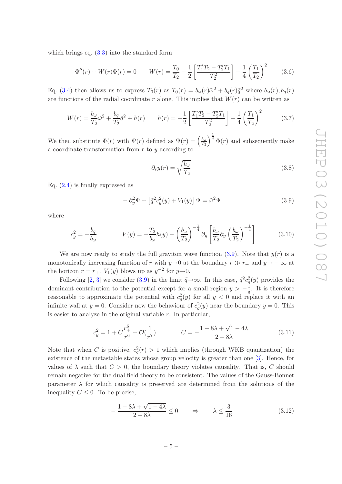which brings eq.  $(3.3)$  into the standard form

$$
\Phi''(r) + W(r)\Phi(r) = 0 \qquad W(r) = \frac{T_0}{T_2} - \frac{1}{2} \left[ \frac{T_1'T_2 - T_2'T_1}{T_2^2} \right] - \frac{1}{4} \left( \frac{T_1}{T_2} \right)^2 \tag{3.6}
$$

Eq. [\(3.4\)](#page-5-3) then allows us to express  $T_0(r)$  as  $T_0(r) = b_\omega(r)\tilde{\omega}^2 + b_q(r)\tilde{q}^2$  where  $b_\omega(r)$ ,  $b_q(r)$ are functions of the radial coordinate r alone. This implies that  $W(r)$  can be written as

$$
W(r) = \frac{b_{\omega}}{T_2}\tilde{\omega}^2 + \frac{b_q}{T_2}\tilde{q}^2 + h(r) \qquad h(r) = -\frac{1}{2}\left[\frac{T_1'T_2 - T_2'T_1}{T_2^2}\right] - \frac{1}{4}\left(\frac{T_1}{T_2}\right)^2 \tag{3.7}
$$

We then substitute  $\Phi(r)$  with  $\Psi(r)$  defined as  $\Psi(r) = \left(\frac{b_{\omega}}{T_2}\right)^{\frac{1}{4}} \Phi(r)$  and subsequently make a coordinate transformation from  $r$  to  $y$  according to

$$
\partial_r y(r) = \sqrt{\frac{b_\omega}{T_2}}\tag{3.8}
$$

Eq.  $(2.4)$  is finally expressed as

<span id="page-6-0"></span>
$$
-\partial_y^2 \Psi + \left[\tilde{q}^2 c_g^2(y) + V_1(y)\right] \Psi = \tilde{\omega}^2 \Psi \tag{3.9}
$$

where

$$
c_g^2 = -\frac{b_q}{b_\omega} \qquad V(y) = -\frac{T_2}{b_\omega}h(y) - \left(\frac{b_\omega}{T_2}\right)^{-\frac{1}{4}}\partial_y \left[\frac{b_\omega}{T_2}\partial_y \left(\frac{b_\omega}{T_2}\right)^{-\frac{1}{4}}\right] \qquad (3.10)
$$

We are now ready to study the full graviton wave function  $(3.9)$ . Note that  $y(r)$  is a monotonically increasing function of r with y→0 at the boundary  $r \gg r_+$  and  $y \to -\infty$  at the horizon  $r = r_+$ .  $V_1(y)$  blows up as  $y^{-2}$  for  $y \rightarrow 0$ .

Following [\[2,](#page-17-2) [3\]](#page-17-3) we consider [\(3.9\)](#page-6-0) in the limit  $\tilde{q} \rightarrow \infty$ . In this case,  $\tilde{q}^2 c_g^2(y)$  provides the dominant contribution to the potential except for a small region  $y > -\frac{1}{\tilde{q}}$  $\frac{1}{\tilde{q}}$ . It is therefore reasonable to approximate the potential with  $c_g^2(y)$  for all  $y < 0$  and replace it with an infinite wall at  $y = 0$ . Consider now the behaviour of  $c_g^2(y)$  near the boundary  $y = 0$ . This is easier to analyze in the original variable  $r$ . In particular,

$$
c_g^2 = 1 + C \frac{r_+^6}{r^6} + \mathcal{O}(\frac{1}{r^7}) \qquad C = -\frac{1 - 8\lambda + \sqrt{1 - 4\lambda}}{2 - 8\lambda} \tag{3.11}
$$

Note that when C is positive,  $c_g^2(r) > 1$  which implies (through WKB quantization) the existence of the metastable states whose group velocity is greater than one [\[3](#page-17-3)]. Hence, for values of  $\lambda$  such that  $C > 0$ , the boundary theory violates causality. That is, C should remain negative for the dual field theory to be consistent. The values of the Gauss-Bonnet parameter  $\lambda$  for which causality is preserved are determined from the solutions of the inequality  $C \leq 0$ . To be precise,

<span id="page-6-1"></span>
$$
-\frac{1-8\lambda+\sqrt{1-4\lambda}}{2-8\lambda} \le 0 \qquad \Rightarrow \qquad \lambda \le \frac{3}{16} \tag{3.12}
$$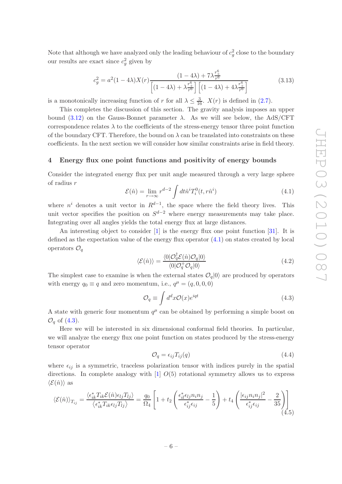Note that although we have analyzed only the leading behaviour of  $c_g^2$  close to the boundary our results are exact since  $c_g^2$  given by

$$
c_g^2 = a^2 (1 - 4\lambda) X(r) \frac{(1 - 4\lambda) + 7\lambda \frac{r_+^6}{r^6}}{\left[ (1 - 4\lambda) + \lambda \frac{r_+^6}{r^6} \right] \left[ (1 - 4\lambda) + 4\lambda \frac{r_+^6}{r^6} \right]}
$$
(3.13)

is a monotonically increasing function of r for all  $\lambda \leq \frac{3}{16}$ .  $X(r)$  is defined in [\(2.7\)](#page-4-4).

This completes the discussion of this section. The gravity analysis imposes an upper bound [\(3.12\)](#page-6-1) on the Gauss-Bonnet parameter  $\lambda$ . As we will see below, the AdS/CFT correspondence relates  $\lambda$  to the coefficients of the stress-energy tensor three point function of the boundary CFT. Therefore, the bound on  $\lambda$  can be translated into constraints on these coefficients. In the next section we will consider how similar constraints arise in field theory.

#### <span id="page-7-0"></span>4 Energy flux one point functions and positivity of energy bounds

Consider the integrated energy flux per unit angle measured through a very large sphere of radius r

<span id="page-7-1"></span>
$$
\mathcal{E}(\hat{n}) = \lim_{r \to \infty} r^{d-2} \int dt \hat{n}^i T_i^0(t, r\hat{n}^i)
$$
\n(4.1)

where  $n^i$  denotes a unit vector in  $R^{d-1}$ , the space where the field theory lives. This unit vector specifies the position on  $S^{d-2}$  where energy measurements may take place. Integrating over all angles yields the total energy flux at large distances.

An interesting object to consider [\[1](#page-17-0)] is the energy flux one point function [\[31](#page-18-6)]. It is defined as the expectation value of the energy flux operator [\(4.1\)](#page-7-1) on states created by local operators  $\mathcal{O}_q$ 

$$
\langle \mathcal{E}(\hat{n}) \rangle = \frac{\langle 0 | \mathcal{O}_q^{\dagger} \mathcal{E}(\hat{n}) \mathcal{O}_q | 0 \rangle}{\langle 0 | \mathcal{O}_q^{\dagger} \mathcal{O}_q | 0 \rangle} \tag{4.2}
$$

The simplest case to examine is when the external states  $\mathcal{O}_q|0\rangle$  are produced by operators with energy  $q_0 \equiv q$  and zero momentum, i.e.,  $q^{\mu} = (q, 0, 0, 0)$ 

<span id="page-7-2"></span>
$$
\mathcal{O}_q \equiv \int d^d x \mathcal{O}(x) e^{iqt} \tag{4.3}
$$

A state with generic four momentum  $q^{\mu}$  can be obtained by performing a simple boost on  $\mathcal{O}_q$  of  $(4.3)$ .

Here we will be interested in six dimensional conformal field theories. In particular, we will analyze the energy flux one point function on states produced by the stress-energy tensor operator

$$
\mathcal{O}_q = \epsilon_{ij} T_{ij}(q) \tag{4.4}
$$

where  $\epsilon_{ij}$  is a symmetric, traceless polarization tensor with indices purely in the spatial directions. In complete analogy with  $[1]$   $O(5)$  rotational symmetry allows us to express  $\langle \mathcal{E}(\hat{n}) \rangle$  as

<span id="page-7-3"></span>
$$
\langle \mathcal{E}(\hat{n}) \rangle_{T_{ij}} = \frac{\langle \epsilon_{ik}^* T_{ik} \mathcal{E}(\hat{n}) \epsilon_{lj} T_{lj} \rangle}{\langle \epsilon_{ik}^* T_{ik} \epsilon_{lj} T_{lj} \rangle} = \frac{q_0}{\Omega_4} \left[ 1 + t_2 \left( \frac{\epsilon_{il}^* \epsilon_{lj} n_i n_j}{\epsilon_{ij}^* \epsilon_{ij}} - \frac{1}{5} \right) + t_4 \left( \frac{|\epsilon_{ij} n_i n_j|^2}{\epsilon_{ij}^* \epsilon_{ij}} - \frac{2}{35} \right) \right]
$$
(4.5)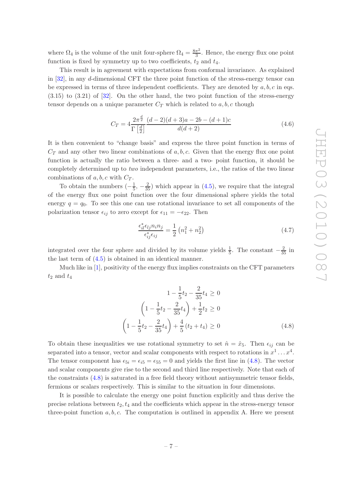where  $\Omega_4$  is the volume of the unit four-sphere  $\Omega_4 = \frac{8\pi^2}{3}$  $\frac{\pi^2}{3}$ . Hence, the energy flux one point function is fixed by symmetry up to two coefficients,  $t_2$  and  $t_4$ .

This result is in agreement with expectations from conformal invariance. As explained in [\[32](#page-18-7)], in any d-dimensional CFT the three point function of the stress-energy tensor can be expressed in terms of three independent coefficients. They are denoted by  $a, b, c$  in eqs. (3.15) to (3.21) of [\[32\]](#page-18-7). On the other hand, the two point function of the stress-energy tensor depends on a unique parameter  $C_T$  which is related to  $a, b, c$  though

<span id="page-8-1"></span>
$$
C_T = 4\frac{2\pi^{\frac{d}{2}}}{\Gamma\left[\frac{d}{2}\right]} \frac{(d-2)(d+3)a - 2b - (d+1)c}{d(d+2)}
$$
(4.6)

It is then convenient to "change basis" and express the three point function in terms of  $C_T$  and any other two linear combinations of  $a, b, c$ . Given that the energy flux one point function is actually the ratio between a three- and a two- point function, it should be completely determined up to *two* independent parameters, i.e., the ratios of the two linear combinations of  $a, b, c$  with  $C_T$ .

To obtain the numbers  $\left(-\frac{1}{5}\right)$  $(\frac{1}{5}, -\frac{2}{35})$  which appear in [\(4.5\)](#page-7-3), we require that the integral of the energy flux one point function over the four dimensional sphere yields the total energy  $q = q_0$ . To see this one can use rotational invariance to set all components of the polarization tensor  $\epsilon_{ij}$  to zero except for  $\epsilon_{11} = -\epsilon_{22}$ . Then

$$
\frac{\epsilon_{il}^* \epsilon_{lj} n_i n_j}{\epsilon_{ij}^* \epsilon_{ij}} = \frac{1}{2} \left( n_1^2 + n_2^2 \right) \tag{4.7}
$$

integrated over the four sphere and divided by its volume yields  $\frac{1}{5}$ . The constant  $-\frac{2}{35}$  in the last term of [\(4.5\)](#page-7-3) is obtained in an identical manner.

Much like in [\[1\]](#page-17-0), positivity of the energy flux implies constraints on the CFT parameters  $t_2$  and  $t_4$ 

<span id="page-8-0"></span>
$$
1 - \frac{1}{5}t_2 - \frac{2}{35}t_4 \ge 0
$$
  

$$
\left(1 - \frac{1}{5}t_2 - \frac{2}{35}t_4\right) + \frac{1}{2}t_2 \ge 0
$$
  

$$
\left(1 - \frac{1}{5}t_2 - \frac{2}{35}t_4\right) + \frac{4}{5}(t_2 + t_4) \ge 0
$$
 (4.8)

To obtain these inequalities we use rotational symmetry to set  $\hat{n} = \hat{x}_5$ . Then  $\epsilon_{ij}$  can be separated into a tensor, vector and scalar components with respect to rotations in  $x^1 \dots x^4$ . The tensor component has  $\epsilon_{5i} = \epsilon_{55} = 0$  and yields the first line in [\(4.8\)](#page-8-0). The vector and scalar components give rise to the second and third line respectively. Note that each of the constraints [\(4.8\)](#page-8-0) is saturated in a free field theory without antisymmetric tensor fields, fermions or scalars respectively. This is similar to the situation in four dimensions.

It is possible to calculate the energy one point function explicitly and thus derive the precise relations between  $t_2, t_4$  and the coefficients which appear in the stress-energy tensor three-point function  $a, b, c$ . The computation is outlined in appendix A. Here we present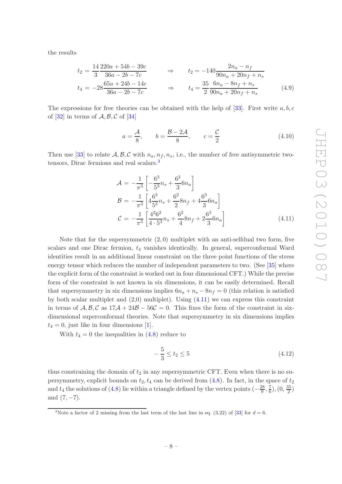the results

<span id="page-9-2"></span>
$$
t_2 = \frac{14}{3} \frac{220a + 54b - 39c}{36a - 2b - 7c} \Rightarrow t_2 = -140 \frac{2n_a - n_f}{90n_a + 20n_f + n_s}
$$
  

$$
t_4 = -28 \frac{65a + 24b - 14c}{36a - 2b - 7c} \Rightarrow t_4 = \frac{35}{2} \frac{6n_a - 8n_f + n_s}{90n_a + 20n_f + n_s}
$$
(4.9)

The expressions for free theories can be obtained with the help of [\[33](#page-18-8)]. First write  $a, b, c$ of  $[32]$  in terms of  $\mathcal{A}, \mathcal{B}, \mathcal{C}$  of  $[34]$ 

<span id="page-9-3"></span>
$$
a = \frac{A}{8}, \qquad b = \frac{B - 2A}{8}, \qquad c = \frac{C}{2}
$$
 (4.10)

Then use [\[33\]](#page-18-8) to relate  $A, B, C$  with  $n_a, n_f, n_s$ , i.e., the number of free antisymmetric two-tensors, Dirac fermions and real scalars.<sup>[3](#page-9-0)</sup>

<span id="page-9-1"></span>
$$
\mathcal{A} = -\frac{1}{\pi^3} \left[ -\frac{6^3}{5^3} n_s + \frac{6^3}{3} 6n_a \right]
$$
  
\n
$$
\mathcal{B} = -\frac{1}{\pi^3} \left[ 4\frac{6^3}{5^3} n_s + \frac{6^2}{2} 8n_f + 4\frac{6^3}{3} 6n_a \right]
$$
  
\n
$$
\mathcal{C} = -\frac{1}{\pi^3} \left[ \frac{4^2 6^2}{4 \cdot 5^3} n_s + \frac{6^2}{4} 8n_f + 2\frac{6^3}{3} 6n_a \right]
$$
(4.11)

Note that for the supersymmetric  $(2,0)$  multiplet with an anti-selfdual two form, five scalars and one Dirac fermion,  $t_4$  vanishes identically. In general, superconformal Ward identities result in an additional linear constraint on the three point functions of the stress energy tensor which reduces the number of independent parameters to two. (See [\[35](#page-18-10)] where the explicit form of the constraint is worked out in four dimensional CFT.) While the precise form of the constraint is not known in six dimensions, it can be easily determined. Recall that supersymmetry in six dimensions implies  $6n_a + n_s - 8n_f = 0$  (this relation is satisfied by both scalar multiplet and  $(2,0)$  multiplet). Using  $(4.11)$  we can express this constraint in terms of  $A, B, C$  as  $17A + 24B - 56C = 0$ . This fixes the form of the constraint in sixdimensional superconformal theories. Note that supersymmetry in six dimensions implies  $t_4 = 0$ , just like in four dimensions [\[1](#page-17-0)].

With  $t_4 = 0$  the inequalities in  $(4.8)$  reduce to

$$
-\frac{5}{3} \le t_2 \le 5 \tag{4.12}
$$

thus constraining the domain of  $t_2$  in any supersymmetric CFT. Even when there is no supersymmetry, explicit bounds on  $t_2$ ,  $t_4$  can be derived from [\(4.8\)](#page-8-0). In fact, in the space of  $t_2$ and  $t_4$  the solutions of [\(4.8\)](#page-8-0) lie within a triangle defined by the vertex points  $\left(-\frac{28}{9}\right)$  $\frac{28}{9}, \frac{7}{6}$  $(\frac{7}{6}), (0, \frac{35}{2})$  $\frac{35}{2}$ and  $(7, -7)$ .

<span id="page-9-0"></span><sup>&</sup>lt;sup>3</sup>Note a factor of 2 missing from the last term of the last line in eq. (3.22) of [\[33\]](#page-18-8) for  $d = 6$ .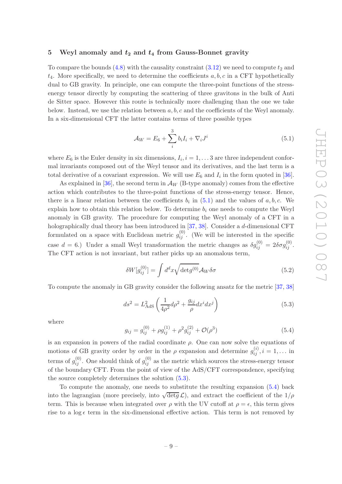#### <span id="page-10-0"></span>5 Weyl anomaly and  $t_2$  and  $t_4$  from Gauss-Bonnet gravity

To compare the bounds  $(4.8)$  with the causality constraint  $(3.12)$  we need to compute  $t_2$  and  $t_4$ . More specifically, we need to determine the coefficients  $a, b, c$  in a CFT hypothetically dual to GB gravity. In principle, one can compute the three-point functions of the stressenergy tensor directly by computing the scattering of three gravitons in the bulk of Anti de Sitter space. However this route is technically more challenging than the one we take below. Instead, we use the relation between  $a, b, c$  and the coefficients of the Weyl anomaly. In a six-dimensional CFT the latter contains terms of three possible types

<span id="page-10-1"></span>
$$
\mathcal{A}_W = E_6 + \sum_{i}^{3} b_i I_i + \nabla_i J^i \tag{5.1}
$$

where  $E_6$  is the Euler density in six dimensions,  $I_i$ ,  $i = 1, \ldots 3$  are three independent conformal invariants composed out of the Weyl tensor and its derivatives, and the last term is a total derivative of a covariant expression. We will use  $E_6$  and  $I_i$  in the form quoted in [\[36\]](#page-18-11).

As explained in  $[36]$ , the second term in  $\mathcal{A}_W$  (B-type anomaly) comes from the effective action which contributes to the three-point functions of the stress-energy tensor. Hence, there is a linear relation between the coefficients  $b_i$  in [\(5.1\)](#page-10-1) and the values of  $a, b, c$ . We explain how to obtain this relation below. To determine  $b_i$  one needs to compute the Weyl anomaly in GB gravity. The procedure for computing the Weyl anomaly of a CFT in a holographically dual theory has been introduced in [\[37](#page-19-0), [38](#page-19-1)]. Consider a d-dimensional CFT formulated on a space with Euclidean metric  $g_{ij}^{(0)}$ . (We will be interested in the specific case  $d = 6$ .) Under a small Weyl transformation the metric changes as  $\delta g_{ij}^{(0)} = 2 \delta \sigma g_{ij}^{(0)}$ . The CFT action is not invariant, but rather picks up an anomalous term,

<span id="page-10-4"></span>
$$
\delta W[g_{ij}^{(0)}] = \int d^d x \sqrt{\det g^{(0)}} A_W \delta \sigma \tag{5.2}
$$

To compute the anomaly in GB gravity consider the following ansatz for the metric [\[37,](#page-19-0) [38\]](#page-19-1)

<span id="page-10-2"></span>
$$
ds^2 = L_{\text{AdS}}^2 \left(\frac{1}{4\rho^2} d\rho^2 + \frac{g_{ij}}{\rho} dx^i dx^j\right) \tag{5.3}
$$

where

<span id="page-10-3"></span>
$$
g_{ij} = g_{ij}^{(0)} + \rho g_{ij}^{(1)} + \rho^2 g_{ij}^{(2)} + \mathcal{O}(\rho^3)
$$
\n(5.4)

is an expansion in powers of the radial coordinate  $\rho$ . One can now solve the equations of motions of GB gravity order by order in the  $\rho$  expansion and determine  $g_{ij}^{(i)}$ ,  $i = 1, \ldots$  in terms of  $g_{ij}^{(0)}$ . One should think of  $g_{ij}^{(0)}$  as the metric which sources the stress-energy tensor of the boundary CFT. From the point of view of the AdS/CFT correspondence, specifying the source completely determines the solution [\(5.3\)](#page-10-2).

To compute the anomaly, one needs to substitute the resulting expansion [\(5.4\)](#page-10-3) back into the lagrangian (more precisely, into  $\sqrt{\det g} \mathcal{L}$ ), and extract the coefficient of the  $1/\rho$ term. This is because when integrated over  $\rho$  with the UV cutoff at  $\rho = \epsilon$ , this term gives rise to a log  $\epsilon$  term in the six-dimensional effective action. This term is not removed by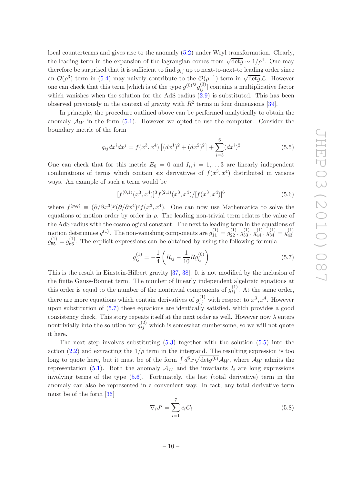local counterterms and gives rise to the anomaly [\(5.2\)](#page-10-4) under Weyl transformation. Clearly, the leading term in the expansion of the lagrangian comes from  $\sqrt{\det g} \sim 1/\rho^4$ . One may therefore be surprised that it is sufficient to find  $g_{ij}$  up to next-to-next-to leading order since an  $\mathcal{O}(\rho^3)$  term in [\(5.4\)](#page-10-3) may naively contribute to the  $\mathcal{O}(\rho^{-1})$  term in  $\sqrt{\det g} \mathcal{L}$ . However one can check that this term [which is of the type  $g^{(0)}{}^{ij}g^{(3)}_{ij}$ ] contains a multiplicative factor which vanishes when the solution for the AdS radius  $(2.9)$  is substituted. This has been observed previously in the context of gravity with  $R^2$  terms in four dimensions [\[39](#page-19-2)].

In principle, the procedure outlined above can be performed analytically to obtain the anomaly  $\mathcal{A}_W$  in the form [\(5.1\)](#page-10-1). However we opted to use the computer. Consider the boundary metric of the form

<span id="page-11-1"></span>
$$
g_{ij}dx^{i}dx^{j} = f(x^{3}, x^{4}) [(dx^{1})^{2} + (dx^{2})^{2}] + \sum_{i=3}^{6} (dx^{i})^{2}
$$
(5.5)

One can check that for this metric  $E_6 = 0$  and  $I_i, i = 1, \ldots 3$  are linearly independent combinations of terms which contain six derivatives of  $f(x^3, x^4)$  distributed in various ways. An example of such a term would be

<span id="page-11-2"></span>
$$
[f^{(0,1)}(x^3, x^4)]^3 f^{(2,1)}(x^3, x^4) / [f(x^3, x^4)]^6
$$
\n(5.6)

where  $f^{(p,q)} \equiv (\partial/\partial x^3)^p (\partial/\partial x^4)^q f(x^3, x^4)$ . One can now use Mathematica to solve the equations of motion order by order in  $\rho$ . The leading non-trivial term relates the value of the AdS radius with the cosmological constant. The next to leading term in the equations of motion determines  $g^{(1)}$ . The non-vanishing components are  $g_{11}^{(1)} = g_{22}^{(1)}$ ,  $g_{33}^{(1)}$ ,  $g_{44}^{(1)}$ ,  $g_{34}^{(1)} = g_{43}^{(1)}$ 43  $g_{55}^{(1)} = g_{66}^{(1)}$ . The explicit expressions can be obtained by using the following formula

<span id="page-11-0"></span>
$$
g_{ij}^{(1)} = -\frac{1}{4} \left( R_{ij} - \frac{1}{10} R g_{ij}^{(0)} \right) \tag{5.7}
$$

This is the result in Einstein-Hilbert gravity [\[37](#page-19-0), [38\]](#page-19-1). It is not modified by the inclusion of the finite Gauss-Bonnet term. The number of linearly independent algebraic equations at this order is equal to the number of the nontrivial components of  $g_{ij}^{(1)}$ . At the same order, there are more equations which contain derivatives of  $g_{ij}^{(1)}$  with respect to  $x^3, x^4$ . However upon substitution of [\(5.7\)](#page-11-0) these equations are identically satisfied, which provides a good consistency check. This story repeats itself at the next order as well. However now  $\lambda$  enters nontrivially into the solution for  $g_{ij}^{(2)}$  which is somewhat cumbersome, so we will not quote it here.

The next step involves substituting  $(5.3)$  together with the solution  $(5.5)$  into the action [\(2.2\)](#page-4-0) and extracting the  $1/\rho$  term in the integrand. The resulting expression is too long to quote here, but it must be of the form  $\int d^6x \sqrt{\det g^{(0)}} A_W$ , where  $A_W$  admits the representation [\(5.1\)](#page-10-1). Both the anomaly  $\mathcal{A}_W$  and the invariants  $I_i$  are long expressions involving terms of the type [\(5.6\)](#page-11-2). Fortunately, the last (total derivative) term in the anomaly can also be represented in a convenient way. In fact, any total derivative term must be of the form [\[36](#page-18-11)]

$$
\nabla_i J^i = \sum_{i=1}^7 c_i C_i \tag{5.8}
$$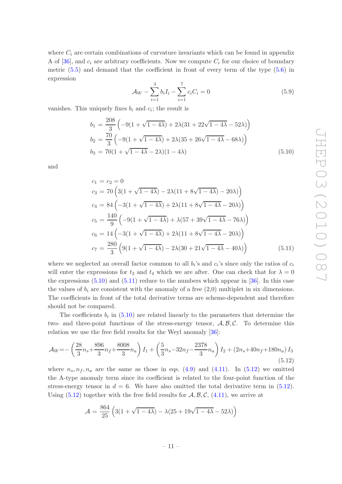where  $C_i$  are certain combinations of curvature invariants which can be found in appendix A of [\[36](#page-18-11)], and  $c_i$  are arbitrary coefficients. Now we compute  $C_i$  for our choice of boundary metric [\(5.5\)](#page-11-1) and demand that the coefficient in front of every term of the type [\(5.6\)](#page-11-2) in expression

$$
\mathcal{A}_W - \sum_{i=1}^3 b_i I_i - \sum_{i=1}^7 c_i C_i = 0 \tag{5.9}
$$

vanishes. This uniquely fixes  $b_i$  and  $c_i$ ; the result is

<span id="page-12-0"></span>
$$
b_1 = \frac{208}{3} \left( -9(1 + \sqrt{1 - 4\lambda}) + 2\lambda(31 + 22\sqrt{1 - 4\lambda} - 52\lambda) \right)
$$
  
\n
$$
b_2 = \frac{70}{3} \left( -9(1 + \sqrt{1 - 4\lambda}) + 2\lambda(35 + 26\sqrt{1 - 4\lambda} - 68\lambda) \right)
$$
  
\n
$$
b_3 = 70(1 + \sqrt{1 - 4\lambda} - 2\lambda)(1 - 4\lambda)
$$
\n(5.10)

and

<span id="page-12-1"></span>
$$
c_1 = c_2 = 0
$$
  
\n
$$
c_3 = 70 \left( 3(1 + \sqrt{1 - 4\lambda}) - 2\lambda(11 + 8\sqrt{1 - 4\lambda}) - 20\lambda) \right)
$$
  
\n
$$
c_4 = 84 \left( -3(1 + \sqrt{1 - 4\lambda}) + 2\lambda(11 + 8\sqrt{1 - 4\lambda} - 20\lambda) \right)
$$
  
\n
$$
c_5 = \frac{140}{9} \left( -9(1 + \sqrt{1 - 4\lambda}) + \lambda(57 + 39\sqrt{1 - 4\lambda} - 76\lambda) \right)
$$
  
\n
$$
c_6 = 14 \left( -3(1 + \sqrt{1 - 4\lambda}) + 2\lambda(11 + 8\sqrt{1 - 4\lambda} - 20\lambda) \right)
$$
  
\n
$$
c_7 = \frac{280}{3} \left( 9(1 + \sqrt{1 - 4\lambda}) - 2\lambda(30 + 21\sqrt{1 - 4\lambda} - 40\lambda) \right)
$$
 (5.11)

where we neglected an overall factor common to all  $b_i$ 's and  $c_i$ 's since only the ratios of  $c_i$ will enter the expressions for  $t_2$  and  $t_4$  which we are after. One can check that for  $\lambda = 0$ the expressions  $(5.10)$  and  $(5.11)$  reduce to the numbers which appear in [\[36\]](#page-18-11). In this case the values of  $b_i$  are consistent with the anomaly of a free  $(2,0)$  multiplet in six dimensions. The coefficients in front of the total derivative terms are scheme-dependent and therefore should not be compared.

The coefficients  $b_i$  in  $(5.10)$  are related linearly to the parameters that determine the two- and three-point functions of the stress-energy tensor,  $A, B, C$ . To determine this relation we use the free field results for the Weyl anomaly [\[36](#page-18-11)]:

<span id="page-12-2"></span>
$$
\mathcal{A}_W = -\left(\frac{28}{3}n_s + \frac{896}{3}n_f + \frac{8008}{3}n_a\right)I_1 + \left(\frac{5}{3}n_s - 32n_f - \frac{2378}{3}n_a\right)I_2 + \left(2n_s + 40n_f + 180n_a\right)I_3\tag{5.12}
$$

where  $n_s, n_f, n_a$  are the same as those in eqs. [\(4.9\)](#page-9-2) and [\(4.11\)](#page-9-1). In [\(5.12\)](#page-12-2) we omitted the A-type anomaly term since its coefficient is related to the four-point function of the stress-energy tensor in  $d = 6$ . We have also omitted the total derivative term in  $(5.12)$ . Using  $(5.12)$  together with the free field results for  $\mathcal{A}, \mathcal{B}, \mathcal{C}, (4.11)$  $\mathcal{A}, \mathcal{B}, \mathcal{C}, (4.11)$ , we arrive at

$$
\mathcal{A} = \frac{864}{25} \left( 3(1 + \sqrt{1 - 4\lambda}) - \lambda(25 + 19\sqrt{1 - 4\lambda} - 52\lambda) \right)
$$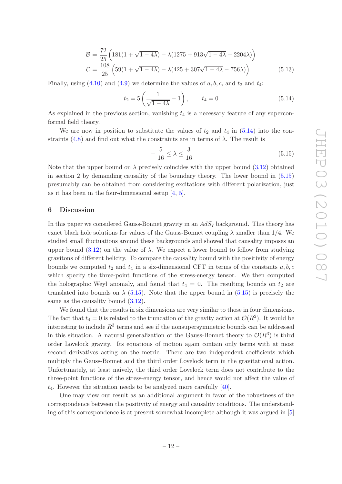$$
\mathcal{B} = \frac{72}{25} \left( 181(1 + \sqrt{1 - 4\lambda}) - \lambda(1275 + 913\sqrt{1 - 4\lambda} - 2204\lambda) \right)
$$
  

$$
\mathcal{C} = \frac{108}{25} \left( 59(1 + \sqrt{1 - 4\lambda}) - \lambda(425 + 307\sqrt{1 - 4\lambda} - 756\lambda) \right)
$$
(5.13)

Finally, using  $(4.10)$  and  $(4.9)$  we determine the values of  $a, b, c$ , and  $t_2$  and  $t_4$ :

<span id="page-13-1"></span>
$$
t_2 = 5\left(\frac{1}{\sqrt{1-4\lambda}} - 1\right), \qquad t_4 = 0 \tag{5.14}
$$

As explained in the previous section, vanishing  $t_4$  is a necessary feature of any superconformal field theory.

We are now in position to substitute the values of  $t_2$  and  $t_4$  in [\(5.14\)](#page-13-1) into the con-straints [\(4.8\)](#page-8-0) and find out what the constraints are in terms of  $\lambda$ . The result is

<span id="page-13-2"></span>
$$
-\frac{5}{16} \le \lambda \le \frac{3}{16} \tag{5.15}
$$

Note that the upper bound on  $\lambda$  precisely coincides with the upper bound  $(3.12)$  obtained in section 2 by demanding causality of the boundary theory. The lower bound in [\(5.15\)](#page-13-2) presumably can be obtained from considering excitations with different polarization, just as it has been in the four-dimensional setup [\[4,](#page-17-6) [5\]](#page-17-1).

#### <span id="page-13-0"></span>6 Discussion

In this paper we considered Gauss-Bonnet gravity in an  $AdS_7$  background. This theory has exact black hole solutions for values of the Gauss-Bonnet coupling  $\lambda$  smaller than 1/4. We studied small fluctuations around these backgrounds and showed that causality imposes an upper bound  $(3.12)$  on the value of  $\lambda$ . We expect a lower bound to follow from studying gravitons of different helicity. To compare the causality bound with the positivity of energy bounds we computed  $t_2$  and  $t_4$  in a six-dimensional CFT in terms of the constants  $a, b, c$ which specify the three-point functions of the stress-energy tensor. We then computed the holographic Weyl anomaly, and found that  $t_4 = 0$ . The resulting bounds on  $t_2$  are translated into bounds on  $\lambda$  [\(5.15\)](#page-13-2). Note that the upper bound in [\(5.15\)](#page-13-2) is precisely the same as the causality bound  $(3.12)$ .

We found that the results in six dimensions are very similar to those in four dimensions. The fact that  $t_4 = 0$  is related to the truncation of the gravity action at  $\mathcal{O}(R^2)$ . It would be interesting to include  $R^3$  terms and see if the nonsupersymmetric bounds can be addressed in this situation. A natural generalization of the Gauss-Bonnet theory to  $\mathcal{O}(R^3)$  is third order Lovelock gravity. Its equations of motion again contain only terms with at most second derivatives acting on the metric. There are two independent coefficients which multiply the Gauss-Bonnet and the third order Lovelock term in the gravitational action. Unfortunately, at least naively, the third order Lovelock term does not contribute to the three-point functions of the stress-energy tensor, and hence would not affect the value of  $t_4$ . However the situation needs to be analyzed more carefully [\[40\]](#page-19-3).

One may view our result as an additional argument in favor of the robustness of the correspondence between the positivity of energy and causality conditions. The understanding of this correspondence is at present somewhat incomplete although it was argued in [\[5\]](#page-17-1)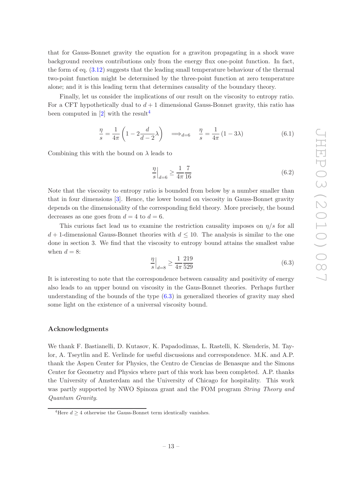that for Gauss-Bonnet gravity the equation for a graviton propagating in a shock wave background receives contributions only from the energy flux one-point function. In fact, the form of eq. [\(3.12\)](#page-6-1) suggests that the leading small temperature behaviour of the thermal two-point function might be determined by the three-point function at zero temperature alone; and it is this leading term that determines causality of the boundary theory.

Finally, let us consider the implications of our result on the viscosity to entropy ratio. For a CFT hypothetically dual to  $d+1$  dimensional Gauss-Bonnet gravity, this ratio has been computed in  $[2]$  with the result<sup>[4](#page-14-0)</sup>

$$
\frac{\eta}{s} = \frac{1}{4\pi} \left( 1 - 2\frac{d}{d-2} \lambda \right) \implies_{d=6} \frac{\eta}{s} = \frac{1}{4\pi} \left( 1 - 3\lambda \right) \tag{6.1}
$$

Combining this with the bound on  $\lambda$  leads to

$$
\frac{\eta}{s}\Big|_{d=6} \ge \frac{1}{4\pi} \frac{7}{16} \tag{6.2}
$$

Note that the viscosity to entropy ratio is bounded from below by a number smaller than that in four dimensions [\[3](#page-17-3)]. Hence, the lower bound on viscosity in Gauss-Bonnet gravity depends on the dimensionality of the corresponding field theory. More precisely, the bound decreases as one goes from  $d = 4$  to  $d = 6$ .

This curious fact lead us to examine the restriction causality imposes on  $\eta/s$  for all  $d+1$ -dimensional Gauss-Bonnet theories with  $d \leq 10$ . The analysis is similar to the one done in section 3. We find that the viscosity to entropy bound attains the smallest value when  $d = 8$ :

<span id="page-14-1"></span>
$$
\frac{\eta}{s}\Big|_{d=8} \ge \frac{1}{4\pi} \frac{219}{529} \tag{6.3}
$$

It is interesting to note that the correspondence between causality and positivity of energy also leads to an upper bound on viscosity in the Gaus-Bonnet theories. Perhaps further understanding of the bounds of the type [\(6.3\)](#page-14-1) in generalized theories of gravity may shed some light on the existence of a universal viscosity bound.

#### Acknowledgments

We thank F. Bastianelli, D. Kutasov, K. Papadodimas, L. Rastelli, K. Skenderis, M. Taylor, A. Tseytlin and E. Verlinde for useful discussions and correspondence. M.K. and A.P. thank the Aspen Center for Physics, the Centro de Ciencias de Benasque and the Simons Center for Geometry and Physics where part of this work has been completed. A.P. thanks the University of Amsterdam and the University of Chicago for hospitality. This work was partly supported by NWO Spinoza grant and the FOM program *String Theory and Quantum Gravity*.

<span id="page-14-0"></span><sup>&</sup>lt;sup>4</sup>Here  $d > 4$  otherwise the Gauss-Bonnet term identically vanishes.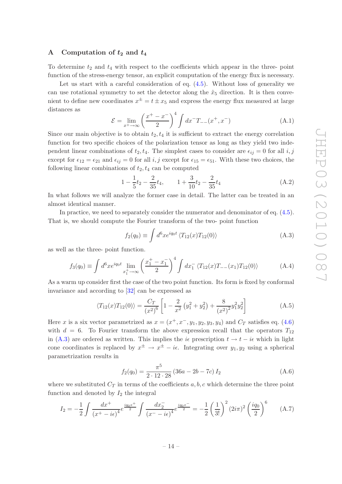#### <span id="page-15-0"></span>A Computation of  $t_2$  and  $t_4$

To determine  $t_2$  and  $t_4$  with respect to the coefficients which appear in the three- point function of the stress-energy tensor, an explicit computation of the energy flux is necessary.

Let us start with a careful consideration of eq.  $(4.5)$ . Without loss of generality we can use rotational symmetry to set the detector along the  $\hat{x}_5$  direction. It is then convenient to define new coordinates  $x^{\pm} = t \pm x_5$  and express the energy flux measured at large distances as

$$
\mathcal{E} = \lim_{x^+ \to \infty} \left( \frac{x^+ - x^-}{2} \right)^4 \int dx^- T_{--}(x^+, x^-) \tag{A.1}
$$

Since our main objective is to obtain  $t_2, t_4$  it is sufficient to extract the energy correlation function for two specific choices of the polarization tensor as long as they yield two independent linear combinations of  $t_2, t_4$ . The simplest cases to consider are  $\epsilon_{ij} = 0$  for all i, j except for  $\epsilon_{12} = \epsilon_{21}$  and  $\epsilon_{ij} = 0$  for all i, j except for  $\epsilon_{15} = \epsilon_{51}$ . With these two choices, the following linear combinations of  $t_2, t_4$  can be computed

<span id="page-15-5"></span>
$$
1 - \frac{1}{5}t_2 - \frac{2}{35}t_4, \qquad 1 + \frac{3}{10}t_2 - \frac{2}{35}t_4 \tag{A.2}
$$

In what follows we will analyze the former case in detail. The latter can be treated in an almost identical manner.

In practice, we need to separately consider the numerator and denominator of eq.  $(4.5)$ . That is, we should compute the Fourier transform of the two- point function

<span id="page-15-1"></span>
$$
f_2(q_0) \equiv \int d^6x e^{iq_0 t} \langle T_{12}(x) T_{12}(0) \rangle \tag{A.3}
$$

as well as the three- point function.

<span id="page-15-2"></span>
$$
f_3(q_0) \equiv \int d^6 x e^{iq_0 t} \lim_{x_1^+ \to \infty} \left(\frac{x_1^+ - x_1^-}{2}\right)^4 \int dx_1^- \langle T_{12}(x) T_{--}(x_1) T_{12}(0) \rangle \tag{A.4}
$$

As a warm up consider first the case of the two point function. Its form is fixed by conformal invariance and according to [\[32](#page-18-7)] can be expressed as

$$
\langle T_{12}(x)T_{12}(0)\rangle = \frac{C_T}{(x^2)^6} \left[1 - \frac{2}{x^2} \left(y_1^2 + y_2^2\right) + \frac{8}{(x^2)^2} y_1^2 y_2^2\right]
$$
(A.5)

Here x is a six vector parametrized as  $x = (x^+, x^-, y_1, y_2, y_3, y_4)$  and  $C_T$  satisfies eq. [\(4.6\)](#page-8-1) with  $d = 6$ . To Fourier transform the above expression recall that the operators  $T_{12}$ in [\(A.3\)](#page-15-1) are ordered as written. This implies the i $\epsilon$  prescription  $t \to t - i\epsilon$  which in light cone coordinates is replaced by  $x^{\pm} \to x^{\pm} - i\epsilon$ . Integrating over  $y_1, y_2$  using a spherical parametrization results in

<span id="page-15-3"></span>
$$
f_2(q_0) = \frac{\pi^5}{2 \cdot 12 \cdot 28} \left( 36a - 2b - 7c \right) I_2 \tag{A.6}
$$

where we substituted  $C_T$  in terms of the coefficients a, b, c which determine the three point function and denoted by  $I_2$  the integral

<span id="page-15-4"></span>
$$
I_2 = -\frac{1}{2} \int \frac{dx^+}{\left(x^+ - i\epsilon\right)^4} e^{\frac{i q_0 x^+}{2}} \int \frac{dx_2^-}{\left(x^- - i\epsilon\right)^4} e^{\frac{i q_0 x^-}{2}} = -\frac{1}{2} \left(\frac{1}{3!}\right)^2 (2i\pi)^2 \left(\frac{i q_0}{2}\right)^6 \tag{A.7}
$$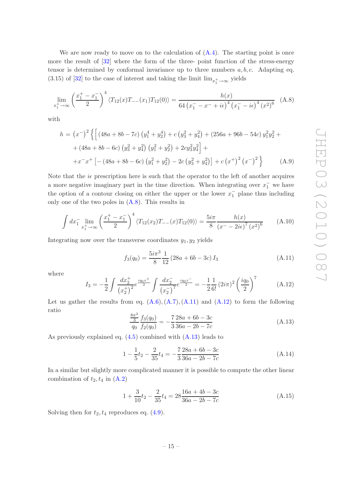We are now ready to move on to the calculation of  $(A.4)$ . The starting point is once more the result of [\[32](#page-18-7)] where the form of the three- point function of the stress-energy tensor is determined by conformal invariance up to three numbers  $a, b, c$ . Adapting eq. (3.15) of [\[32](#page-18-7)] to the case of interest and taking the limit  $\lim_{x_1^+ \to \infty}$  yields

<span id="page-16-0"></span>
$$
\lim_{x_1^+ \to \infty} \left(\frac{x_1^+ - x_1^-}{2}\right)^4 \langle T_{12}(x)T_{--}(x_1)T_{12}(0) \rangle = \frac{h(x)}{64\left(x_1^- - x^- + i\epsilon\right)^4 \left(x_1^- - i\epsilon\right)^4 \left(x^2\right)^6} \tag{A.8}
$$

with

$$
h = (x^{-})^2 \left\{ \left[ \left( 48a + 8b - 7c \right) \left( y_1^4 + y_2^4 \right) + c \left( y_3^2 + y_4^2 \right) + \left( 256a + 96b - 54c \right) y_1^2 y_2^2 + \right. \\ \left. + \left( 48a + 8b - 6c \right) \left( y_3^2 + y_4^2 \right) \left( y_1^2 + y_2^2 \right) + 2cy_3^2 y_4^2 \right] + \\ \left. + x^{-} x^{+} \left[ - \left( 48a + 8b - 6c \right) \left( y_1^2 + y_2^2 \right) - 2c \left( y_3^2 + y_4^2 \right) \right] + c \left( x^{+} \right)^2 \left( x^{-} \right)^2 \right\} \tag{A.9}
$$

Note that the  $i\epsilon$  prescription here is such that the operator to the left of another acquires a more negative imaginary part in the time direction. When integrating over  $x_1^-$  we have the option of a contour closing on either the upper or the lower  $x_1^-$  plane thus including only one of the two poles in  $(A.8)$ . This results in

$$
\int dx_1^- \lim_{x_1^+ \to \infty} \left(\frac{x_1^+ - x_1^-}{2}\right)^4 \langle T_{12}(x_2)T_{--}(x)T_{12}(0) \rangle = \frac{5i\pi}{8} \frac{h(x)}{(x^- - 2i\epsilon)^7 (x^2)^6} \tag{A.10}
$$

Integrating now over the transverse coordinates  $y_1, y_2$  yields

<span id="page-16-1"></span>
$$
f_3(q_0) = \frac{5i\pi^3}{8} \frac{1}{12} (28a + 6b - 3c) I_3
$$
 (A.11)

where

<span id="page-16-2"></span>
$$
I_3 = -\frac{1}{2} \int \frac{dx_2^+}{\left(x_2^+\right)^2} e^{\frac{i q_0 x^+}{2}} \int \frac{dx_2^-}{\left(x_2^-\right)^7} e^{\frac{i q_0 x^-}{2}} = -\frac{1}{2} \frac{1}{6!} (2i\pi)^2 \left(\frac{i q_0}{2}\right)^7 \tag{A.12}
$$

Let us gather the results from eq.  $(A.6)$ ,  $(A.7)$ ,  $(A.11)$  and  $(A.12)$  to form the following ratio

<span id="page-16-3"></span>
$$
\frac{\frac{8\pi^2}{3}}{q_0} \frac{f_3(q_0)}{f_2(q_0)} = -\frac{7}{3} \frac{28a + 6b - 3c}{36a - 2b - 7c}
$$
 (A.13)

As previously explained eq. [\(4.5\)](#page-7-3) combined with [\(A.13\)](#page-16-3) leads to

$$
1 - \frac{1}{5}t_2 - \frac{2}{35}t_4 = -\frac{7}{3}\frac{28a + 6b - 3c}{36a - 2b - 7c}
$$
 (A.14)

In a similar but slightly more complicated manner it is possible to compute the other linear combination of  $t_2, t_4$  in  $(A.2)$ 

$$
1 + \frac{3}{10}t_2 - \frac{2}{35}t_4 = 28\frac{16a + 4b - 3c}{36a - 2b - 7c}
$$
 (A.15)

Solving then for  $t_2, t_4$  reproduces eq.  $(4.9)$ .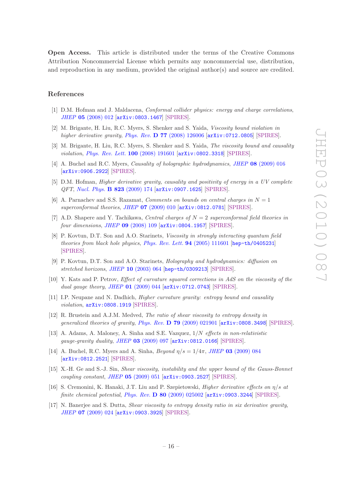Open Access. This article is distributed under the terms of the Creative Commons Attribution Noncommercial License which permits any noncommercial use, distribution, and reproduction in any medium, provided the original author(s) and source are credited.

#### References

- <span id="page-17-0"></span>[1] D.M. Hofman and J. Maldacena, *Conformal collider physics: energy and charge correlations*, *JHEP* 05 [\(2008\) 012](http://dx.doi.org/10.1088/1126-6708/2008/05/012) [[arXiv:0803.1467](http://arxiv.org/abs/0803.1467)] [\[SPIRES\]](http://www-spires.slac.stanford.edu/spires/find/hep/www?eprint=0803.1467).
- <span id="page-17-2"></span>[2] M. Brigante, H. Liu, R.C. Myers, S. Shenker and S. Yaida, *Viscosity bound violation in higher derivative gravity*, *Phys. Rev.* D 77 [\(2008\) 126006](http://dx.doi.org/10.1103/PhysRevD.77.126006) [[arXiv:0712.0805](http://arxiv.org/abs/0712.0805)] [\[SPIRES\]](http://www-spires.slac.stanford.edu/spires/find/hep/www?eprint=0712.0805).
- <span id="page-17-3"></span>[3] M. Brigante, H. Liu, R.C. Myers, S. Shenker and S. Yaida, *The viscosity bound and causality violation*, *[Phys. Rev. Lett.](http://dx.doi.org/10.1103/PhysRevLett.100.191601)* 100 (2008) 191601 [[arXiv:0802.3318](http://arxiv.org/abs/0802.3318)] [\[SPIRES\]](http://www-spires.slac.stanford.edu/spires/find/hep/www?eprint=0802.3318).
- <span id="page-17-6"></span>[4] A. Buchel and R.C. Myers, *Causality of holographic hydrodynamics*, *JHEP* 08 [\(2009\) 016](http://dx.doi.org/10.1088/1126-6708/2009/08/016) [[arXiv:0906.2922](http://arxiv.org/abs/0906.2922)] [\[SPIRES\]](http://www-spires.slac.stanford.edu/spires/find/hep/www?eprint=0906.2922).
- <span id="page-17-1"></span>[5] D.M. Hofman, *Higher derivative gravity, causality and positivity of energy in a UV complete QFT*, *[Nucl. Phys.](http://dx.doi.org/10.1016/j.nuclphysb.2009.08.001)* B 823 (2009) 174 [[arXiv:0907.1625](http://arxiv.org/abs/0907.1625)] [\[SPIRES\]](http://www-spires.slac.stanford.edu/spires/find/hep/www?eprint=0907.1625).
- <span id="page-17-4"></span>[6] A. Parnachev and S.S. Razamat, *Comments on bounds on central charges in*  $N = 1$ *superconformal theories*, *JHEP* 07 [\(2009\) 010](http://dx.doi.org/10.1088/1126-6708/2009/07/010) [[arXiv:0812.0781](http://arxiv.org/abs/0812.0781)] [\[SPIRES\]](http://www-spires.slac.stanford.edu/spires/find/hep/www?eprint=0812.0781).
- <span id="page-17-5"></span>[7] A.D. Shapere and Y. Tachikawa, *Central charges of* N = 2 *superconformal field theories in four dimensions*, *JHEP* 09 [\(2008\) 109](http://dx.doi.org/10.1088/1126-6708/2008/09/109) [[arXiv:0804.1957](http://arxiv.org/abs/0804.1957)] [\[SPIRES\]](http://www-spires.slac.stanford.edu/spires/find/hep/www?eprint=0804.1957).
- <span id="page-17-7"></span>[8] P. Kovtun, D.T. Son and A.O. Starinets, *Viscosity in strongly interacting quantum field theories from black hole physics*, *[Phys. Rev. Lett.](http://dx.doi.org/10.1103/PhysRevLett.94.111601)* 94 (2005) 111601 [[hep-th/0405231](http://arxiv.org/abs/hep-th/0405231)] [\[SPIRES\]](http://www-spires.slac.stanford.edu/spires/find/hep/www?eprint=HEP-TH/0405231).
- <span id="page-17-8"></span>[9] P. Kovtun, D.T. Son and A.O. Starinets, *Holography and hydrodynamics: diffusion on stretched horizons*, *JHEP* 10 [\(2003\) 064](http://dx.doi.org/10.1088/1126-6708/2003/10/064) [[hep-th/0309213](http://arxiv.org/abs/hep-th/0309213)] [\[SPIRES\]](http://www-spires.slac.stanford.edu/spires/find/hep/www?eprint=HEP-TH/0309213).
- <span id="page-17-9"></span>[10] Y. Kats and P. Petrov, *Effect of curvature squared corrections in AdS on the viscosity of the dual gauge theory*, *JHEP* 01 [\(2009\) 044](http://dx.doi.org/10.1088/1126-6708/2009/01/044) [[arXiv:0712.0743](http://arxiv.org/abs/0712.0743)] [\[SPIRES\]](http://www-spires.slac.stanford.edu/spires/find/hep/www?eprint=0712.0743).
- <span id="page-17-10"></span>[11] I.P. Neupane and N. Dadhich, *Higher curvature gravity: entropy bound and causality violation*, [arXiv:0808.1919](http://arxiv.org/abs/0808.1919) [\[SPIRES\]](http://www-spires.slac.stanford.edu/spires/find/hep/www?eprint=0808.1919).
- [12] R. Brustein and A.J.M. Medved, *The ratio of shear viscosity to entropy density in generalized theories of gravity*, *Phys. Rev.* D 79 [\(2009\) 021901](http://dx.doi.org/10.1103/PhysRevD.79.021901) [[arXiv:0808.3498](http://arxiv.org/abs/0808.3498)] [\[SPIRES\]](http://www-spires.slac.stanford.edu/spires/find/hep/www?eprint=0808.3498).
- [13] A. Adams, A. Maloney, A. Sinha and S.E. Vazquez, 1/N *effects in non-relativistic gauge-gravity duality*, *JHEP* 03 [\(2009\) 097](http://dx.doi.org/10.1088/1126-6708/2009/03/097) [[arXiv:0812.0166](http://arxiv.org/abs/0812.0166)] [\[SPIRES\]](http://www-spires.slac.stanford.edu/spires/find/hep/www?eprint=0812.0166).
- [14] A. Buchel, R.C. Myers and A. Sinha, *Beyond*  $\eta/s = 1/4\pi$ , *JHEP* **03** [\(2009\) 084](http://dx.doi.org/10.1088/1126-6708/2009/03/084) [[arXiv:0812.2521](http://arxiv.org/abs/0812.2521)] [\[SPIRES\]](http://www-spires.slac.stanford.edu/spires/find/hep/www?eprint=0812.2521).
- [15] X.-H. Ge and S.-J. Sin, *Shear viscosity, instability and the upper bound of the Gauss-Bonnet coupling constant*, *JHEP* 05 [\(2009\) 051](http://dx.doi.org/10.1088/1126-6708/2009/05/051) [[arXiv:0903.2527](http://arxiv.org/abs/0903.2527)] [\[SPIRES\]](http://www-spires.slac.stanford.edu/spires/find/hep/www?eprint=0903.2527).
- [16] S. Cremonini, K. Hanaki, J.T. Liu and P. Szepietowski, *Higher derivative effects on* η/s *at finite chemical potential*, *Phys. Rev.* D 80 [\(2009\) 025002](http://dx.doi.org/10.1103/PhysRevD.80.025002) [[arXiv:0903.3244](http://arxiv.org/abs/0903.3244)] [\[SPIRES\]](http://www-spires.slac.stanford.edu/spires/find/hep/www?eprint=0903.3244).
- [17] N. Banerjee and S. Dutta, *Shear viscosity to entropy density ratio in six derivative gravity*, *JHEP* 07 [\(2009\) 024](http://dx.doi.org/10.1088/1126-6708/2009/07/024) [[arXiv:0903.3925](http://arxiv.org/abs/0903.3925)] [\[SPIRES\]](http://www-spires.slac.stanford.edu/spires/find/hep/www?eprint=0903.3925).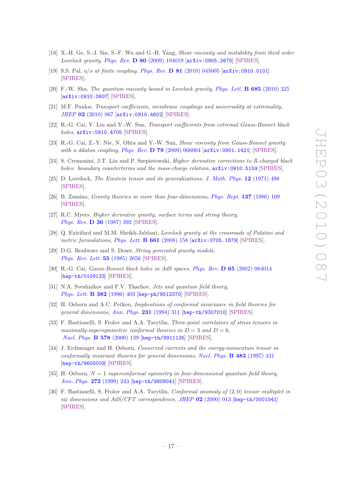- [18] X.-H. Ge, S.-J. Sin, S.-F. Wu and G.-H. Yang, *Shear viscosity and instability from third order Lovelock gravity*, *Phys. Rev.* D 80 [\(2009\) 104019](http://dx.doi.org/10.1103/PhysRevD.80.104019) [[arXiv:0905.2675](http://arxiv.org/abs/0905.2675)] [\[SPIRES\]](http://www-spires.slac.stanford.edu/spires/find/hep/www?eprint=0905.2675).
- [19] S.S. Pal, η/s *at finite coupling*, *Phys. Rev.* D 81 [\(2010\) 045005](http://dx.doi.org/10.1103/PhysRevD.81.045005) [[arXiv:0910.0101](http://arxiv.org/abs/0910.0101)] [\[SPIRES\]](http://www-spires.slac.stanford.edu/spires/find/hep/www?eprint=0910.0101).
- [20] F.-W. Shu, *The quantum viscosity bound in Lovelock gravity*, *[Phys. Lett.](http://dx.doi.org/10.1016/j.physletb.2010.02.006)* B 685 (2010) 325 [[arXiv:0910.0607](http://arxiv.org/abs/0910.0607)] [\[SPIRES\]](http://www-spires.slac.stanford.edu/spires/find/hep/www?eprint=0910.0607).
- [21] M.F. Paulos, *Transport coefficients, membrane couplings and universality at extremality*, *JHEP* 02 [\(2010\) 067](http://dx.doi.org/10.1007/JHEP02(2010)067) [[arXiv:0910.4602](http://arxiv.org/abs/0910.4602)] [\[SPIRES\]](http://www-spires.slac.stanford.edu/spires/find/hep/www?eprint=0910.4602).
- [22] R.-G. Cai, Y. Liu and Y.-W. Sun, *Transport coefficients from extremal Gauss-Bonnet black holes*, [arXiv:0910.4705](http://arxiv.org/abs/0910.4705) [\[SPIRES\]](http://www-spires.slac.stanford.edu/spires/find/hep/www?eprint=0910.4705).
- [23] R.-G. Cai, Z.-Y. Nie, N. Ohta and Y.-W. Sun, *Shear viscosity from Gauss-Bonnet gravity with a dilaton coupling*, *Phys. Rev.* D 79 [\(2009\) 066004](http://dx.doi.org/10.1103/PhysRevD.79.066004) [[arXiv:0901.1421](http://arxiv.org/abs/0901.1421)] [\[SPIRES\]](http://www-spires.slac.stanford.edu/spires/find/hep/www?eprint=0901.1421).
- <span id="page-18-3"></span>[24] S. Cremonini, J.T. Liu and P. Szepietowski, *Higher derivative corrections to R-charged black holes: boundary counterterms and the mass-charge relation*, [arXiv:0910.5159](http://arxiv.org/abs/0910.5159) [\[SPIRES\]](http://www-spires.slac.stanford.edu/spires/find/hep/www?eprint=0910.5159).
- <span id="page-18-0"></span>[25] D. Lovelock, *The Einstein tensor and its generalizations*, *[J. Math. Phys.](http://dx.doi.org/10.1063/1.1665613)* 12 (1971) 498 [\[SPIRES\]](http://www-spires.slac.stanford.edu/spires/find/hep/www?j=JMAPA,12,498).
- [26] B. Zumino, *Gravity theories in more than four-dimensions*, *[Phys. Rept.](http://dx.doi.org/10.1016/0370-1573(86)90076-1)* 137 (1986) 109 [\[SPIRES\]](http://www-spires.slac.stanford.edu/spires/find/hep/www?j=PRPLC,137,109).
- <span id="page-18-1"></span>[27] R.C. Myers, *Higher derivative gravity, surface terms and string theory*, *[Phys. Rev.](http://dx.doi.org/10.1103/PhysRevD.36.392)* **D 36** (1987) 392 [\[SPIRES\]](http://www-spires.slac.stanford.edu/spires/find/hep/www?j=PHRVA,D36,392).
- <span id="page-18-2"></span>[28] Q. Exirifard and M.M. Sheikh-Jabbari, *Lovelock gravity at the crossroads of Palatini and metric formulations*, *[Phys. Lett.](http://dx.doi.org/10.1016/j.physletb.2008.02.012)* B 661 (2008) 158 [[arXiv:0705.1879](http://arxiv.org/abs/0705.1879)] [\[SPIRES\]](http://www-spires.slac.stanford.edu/spires/find/hep/www?eprint=0705.1879).
- <span id="page-18-4"></span>[29] D.G. Boulware and S. Deser, *String generated gravity models*, *[Phys. Rev. Lett.](http://dx.doi.org/10.1103/PhysRevLett.55.2656)* 55 (1985) 2656 [\[SPIRES\]](http://www-spires.slac.stanford.edu/spires/find/hep/www?j=PRLTA,55,2656).
- <span id="page-18-5"></span>[30] R.-G. Cai, *Gauss-Bonnet black holes in AdS spaces*, *Phys. Rev.* D 65 [\(2002\) 084014](http://dx.doi.org/10.1103/PhysRevD.65.084014) [[hep-th/0109133](http://arxiv.org/abs/hep-th/0109133)] [\[SPIRES\]](http://www-spires.slac.stanford.edu/spires/find/hep/www?eprint=HEP-TH/0109133).
- <span id="page-18-6"></span>[31] N.A. Sveshnikov and F.V. Tkachov, *Jets and quantum field theory*, *[Phys. Lett.](http://dx.doi.org/10.1016/0370-2693(96)00558-8)* B 382 (1996) 403 [[hep-ph/9512370](http://arxiv.org/abs/hep-ph/9512370)] [\[SPIRES\]](http://www-spires.slac.stanford.edu/spires/find/hep/www?eprint=HEP-PH/9512370).
- <span id="page-18-7"></span>[32] H. Osborn and A.C. Petkou, *Implications of conformal invariance in field theories for general dimensions*, *[Ann. Phys.](http://dx.doi.org/10.1006/aphy.1994.1045)* 231 (1994) 311 [[hep-th/9307010](http://arxiv.org/abs/hep-th/9307010)] [\[SPIRES\]](http://www-spires.slac.stanford.edu/spires/find/hep/www?eprint=HEP-TH/9307010).
- <span id="page-18-8"></span>[33] F. Bastianelli, S. Frolov and A.A. Tseytlin, *Three-point correlators of stress tensors in maximally-supersymmetric conformal theories in*  $D = 3$  *and*  $D = 6$ , *[Nucl. Phys.](http://dx.doi.org/10.1016/S0550-3213(99)00822-6)* B 578 (2000) 139 [[hep-th/9911135](http://arxiv.org/abs/hep-th/9911135)] [\[SPIRES\]](http://www-spires.slac.stanford.edu/spires/find/hep/www?eprint=HEP-TH/9911135).
- <span id="page-18-9"></span>[34] J. Erdmenger and H. Osborn, *Conserved currents and the energy-momentum tensor in conformally invariant theories for general dimensions*, *[Nucl. Phys.](http://dx.doi.org/10.1016/S0550-3213(96)00545-7)* B 483 (1997) 431 [[hep-th/9605009](http://arxiv.org/abs/hep-th/9605009)] [\[SPIRES\]](http://www-spires.slac.stanford.edu/spires/find/hep/www?eprint=HEP-TH/9605009).
- <span id="page-18-10"></span>[35] H. Osborn,  $N = 1$  *superconformal symmetry in four-dimensional quantum field theory, [Ann. Phys.](http://dx.doi.org/10.1006/aphy.1998.5893)* 272 (1999) 243 [[hep-th/9808041](http://arxiv.org/abs/hep-th/9808041)] [\[SPIRES\]](http://www-spires.slac.stanford.edu/spires/find/hep/www?eprint=HEP-TH/9808041).
- <span id="page-18-11"></span>[36] F. Bastianelli, S. Frolov and A.A. Tseytlin, *Conformal anomaly of* (2, 0) *tensor multiplet in six dimensions and AdS/CFT correspondence*, *JHEP* 02 [\(2000\) 013](http://dx.doi.org/10.1088/1126-6708/2000/02/013) [[hep-th/0001041](http://arxiv.org/abs/hep-th/0001041)] [\[SPIRES\]](http://www-spires.slac.stanford.edu/spires/find/hep/www?eprint=HEP-TH/0001041).